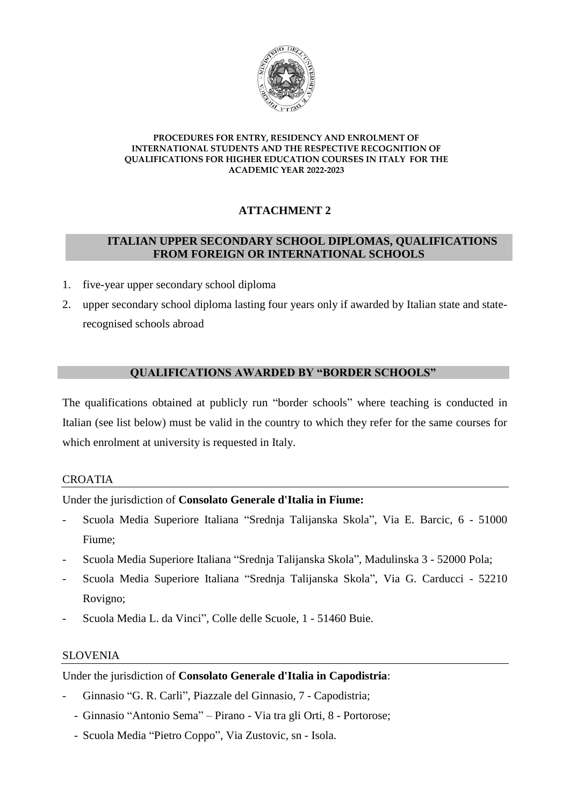

# **ATTACHMENT 2**

# **ITALIAN UPPER SECONDARY SCHOOL DIPLOMAS, QUALIFICATIONS FROM FOREIGN OR INTERNATIONAL SCHOOLS**

- 1. five-year upper secondary school diploma
- 2. upper secondary school diploma lasting four years only if awarded by Italian state and staterecognised schools abroad

## **QUALIFICATIONS AWARDED BY "BORDER SCHOOLS"**

The qualifications obtained at publicly run "border schools" where teaching is conducted in Italian (see list below) must be valid in the country to which they refer for the same courses for which enrolment at university is requested in Italy.

# CROATIA

Under the jurisdiction of **Consolato Generale d'Italia in Fiume:**

- Scuola Media Superiore Italiana "Srednja Talijanska Skola", Via E. Barcic, 6 51000 Fiume;
- Scuola Media Superiore Italiana "Srednja Talijanska Skola", Madulinska 3 52000 Pola;
- Scuola Media Superiore Italiana "Srednja Talijanska Skola", Via G. Carducci 52210 Rovigno;
- Scuola Media L. da Vinci", Colle delle Scuole, 1 51460 Buie.

# SLOVENIA

Under the jurisdiction of **Consolato Generale d'Italia in Capodistria**:

- Ginnasio "G. R. Carli", Piazzale del Ginnasio, 7 Capodistria;
- Ginnasio "Antonio Sema" Pirano Via tra gli Orti, 8 Portorose;
- Scuola Media "Pietro Coppo", Via Zustovic, sn Isola.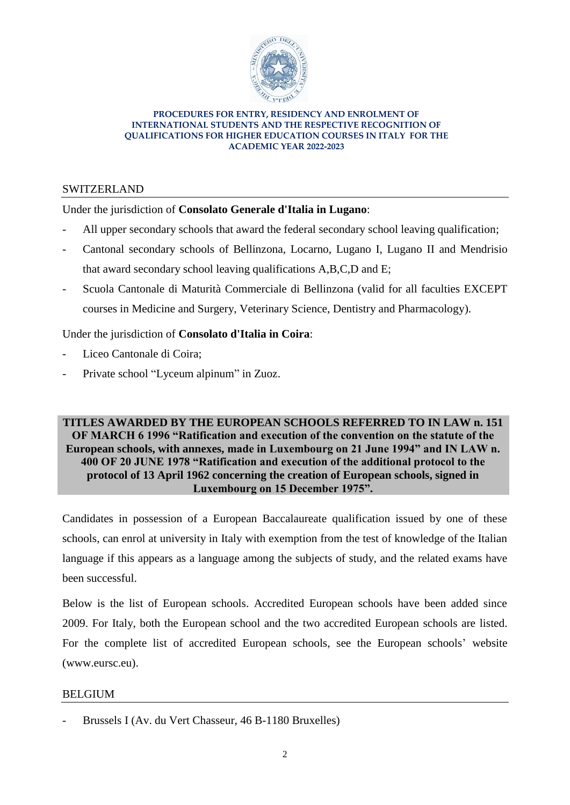

## SWITZERLAND

# Under the jurisdiction of **Consolato Generale d'Italia in Lugano**:

- All upper secondary schools that award the federal secondary school leaving qualification;
- Cantonal secondary schools of Bellinzona, Locarno, Lugano I, Lugano II and Mendrisio that award secondary school leaving qualifications A,B,C,D and E;
- Scuola Cantonale di Maturità Commerciale di Bellinzona (valid for all faculties EXCEPT courses in Medicine and Surgery, Veterinary Science, Dentistry and Pharmacology).

# Under the jurisdiction of **Consolato d'Italia in Coira**:

- Liceo Cantonale di Coira:
- Private school "Lyceum alpinum" in Zuoz.

## **TITLES AWARDED BY THE EUROPEAN SCHOOLS REFERRED TO IN LAW n. 151 OF MARCH 6 1996 "Ratification and execution of the convention on the statute of the European schools, with annexes, made in Luxembourg on 21 June 1994" and IN LAW n. 400 OF 20 JUNE 1978 "Ratification and execution of the additional protocol to the protocol of 13 April 1962 concerning the creation of European schools, signed in Luxembourg on 15 December 1975".**

Candidates in possession of a European Baccalaureate qualification issued by one of these schools, can enrol at university in Italy with exemption from the test of knowledge of the Italian language if this appears as a language among the subjects of study, and the related exams have been successful.

Below is the list of European schools. Accredited European schools have been added since 2009. For Italy, both the European school and the two accredited European schools are listed. For the complete list of accredited European schools, see the European schools' website (www.eursc.eu).

### BELGIUM

Brussels I (Av. du Vert Chasseur, 46 B-1180 Bruxelles)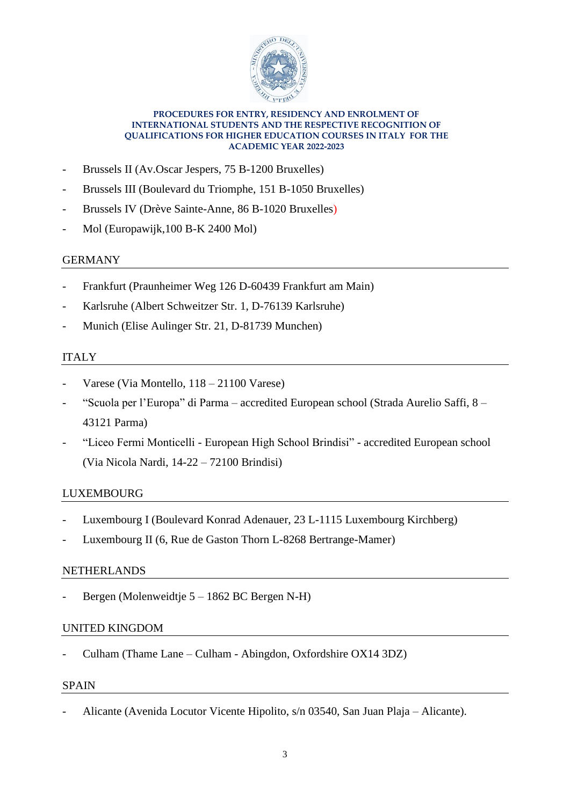

- Brussels II (Av. Oscar Jespers, 75 B-1200 Bruxelles)
- Brussels III (Boulevard du Triomphe, 151 B-1050 Bruxelles)
- Brussels IV (Drève Sainte-Anne, 86 B-1020 Bruxelles)
- Mol (Europawijk, 100 B-K 2400 Mol)

# GERMANY

- Frankfurt (Praunheimer Weg 126 D-60439 Frankfurt am Main)
- Karlsruhe (Albert Schweitzer Str. 1, D-76139 Karlsruhe)
- Munich (Elise Aulinger Str. 21, D-81739 Munchen)

# ITALY

- Varese (Via Montello, 118 21100 Varese)
- "Scuola per l'Europa" di Parma accredited European school (Strada Aurelio Saffi, 8 43121 Parma)
- "Liceo Fermi Monticelli European High School Brindisi" accredited European school (Via Nicola Nardi, 14-22 – 72100 Brindisi)

# LUXEMBOURG

- Luxembourg I (Boulevard Konrad Adenauer, 23 L-1115 Luxembourg Kirchberg)
- Luxembourg II (6, Rue de Gaston Thorn L-8268 Bertrange-Mamer)

# NETHERLANDS

Bergen (Molenweidtje 5 – 1862 BC Bergen N-H)

# UNITED KINGDOM

- Culham (Thame Lane – Culham - Abingdon, Oxfordshire OX14 3DZ)

### SPAIN

- Alicante (Avenida Locutor Vicente Hipolito, s/n 03540, San Juan Plaja – Alicante).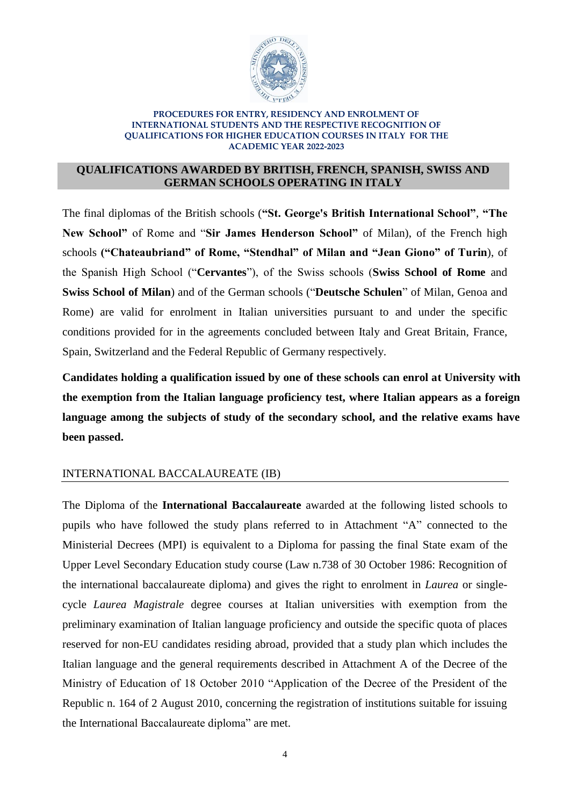

## **QUALIFICATIONS AWARDED BY BRITISH, FRENCH, SPANISH, SWISS AND GERMAN SCHOOLS OPERATING IN ITALY**

The final diplomas of the British schools (**"St. George's British International School"**, **"The New School"** of Rome and "**Sir James Henderson School"** of Milan), of the French high schools **("Chateaubriand" of Rome, "Stendhal" of Milan and "Jean Giono" of Turin**), of the Spanish High School ("**Cervantes**"), of the Swiss schools (**Swiss School of Rome** and **Swiss School of Milan**) and of the German schools ("**Deutsche Schulen**" of Milan, Genoa and Rome) are valid for enrolment in Italian universities pursuant to and under the specific conditions provided for in the agreements concluded between Italy and Great Britain, France, Spain, Switzerland and the Federal Republic of Germany respectively.

**Candidates holding a qualification issued by one of these schools can enrol at University with the exemption from the Italian language proficiency test, where Italian appears as a foreign language among the subjects of study of the secondary school, and the relative exams have been passed.**

# INTERNATIONAL BACCALAUREATE (IB)

The Diploma of the **International Baccalaureate** awarded at the following listed schools to pupils who have followed the study plans referred to in Attachment "A" connected to the Ministerial Decrees (MPI) is equivalent to a Diploma for passing the final State exam of the Upper Level Secondary Education study course (Law n.738 of 30 October 1986: Recognition of the international baccalaureate diploma) and gives the right to enrolment in *Laurea* or singlecycle *Laurea Magistrale* degree courses at Italian universities with exemption from the preliminary examination of Italian language proficiency and outside the specific quota of places reserved for non-EU candidates residing abroad, provided that a study plan which includes the Italian language and the general requirements described in Attachment A of the Decree of the Ministry of Education of 18 October 2010 "Application of the Decree of the President of the Republic n. 164 of 2 August 2010, concerning the registration of institutions suitable for issuing the International Baccalaureate diploma" are met.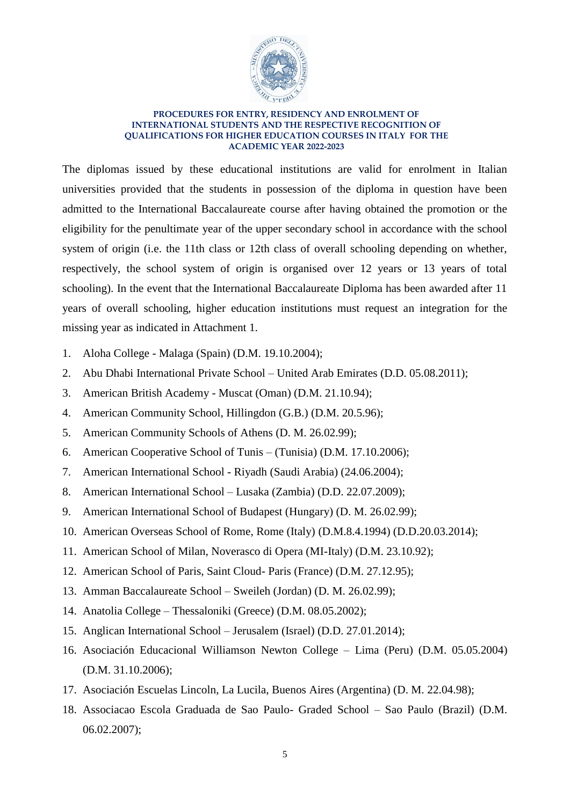

The diplomas issued by these educational institutions are valid for enrolment in Italian universities provided that the students in possession of the diploma in question have been admitted to the International Baccalaureate course after having obtained the promotion or the eligibility for the penultimate year of the upper secondary school in accordance with the school system of origin (i.e. the 11th class or 12th class of overall schooling depending on whether, respectively, the school system of origin is organised over 12 years or 13 years of total schooling). In the event that the International Baccalaureate Diploma has been awarded after 11 years of overall schooling, higher education institutions must request an integration for the missing year as indicated in Attachment 1.

- 1. Aloha College Malaga (Spain) (D.M. 19.10.2004);
- 2. Abu Dhabi International Private School United Arab Emirates (D.D. 05.08.2011);
- 3. American British Academy Muscat (Oman) (D.M. 21.10.94);
- 4. American Community School, Hillingdon (G.B.) (D.M. 20.5.96);
- 5. American Community Schools of Athens (D. M. 26.02.99);
- 6. American Cooperative School of Tunis (Tunisia) (D.M. 17.10.2006);
- 7. American International School Riyadh (Saudi Arabia) (24.06.2004);
- 8. American International School Lusaka (Zambia) (D.D. 22.07.2009);
- 9. American International School of Budapest (Hungary) (D. M. 26.02.99);
- 10. American Overseas School of Rome, Rome (Italy) (D.M.8.4.1994) (D.D.20.03.2014);
- 11. American School of Milan, Noverasco di Opera (MI-Italy) (D.M. 23.10.92);
- 12. American School of Paris, Saint Cloud- Paris (France) (D.M. 27.12.95);
- 13. Amman Baccalaureate School Sweileh (Jordan) (D. M. 26.02.99);
- 14. Anatolia College Thessaloniki (Greece) (D.M. 08.05.2002);
- 15. Anglican International School Jerusalem (Israel) (D.D. 27.01.2014);
- 16. Asociación Educacional Williamson Newton College Lima (Peru) (D.M. 05.05.2004) (D.M. 31.10.2006);
- 17. Asociación Escuelas Lincoln, La Lucila, Buenos Aires (Argentina) (D. M. 22.04.98);
- 18. Associacao Escola Graduada de Sao Paulo- Graded School Sao Paulo (Brazil) (D.M. 06.02.2007);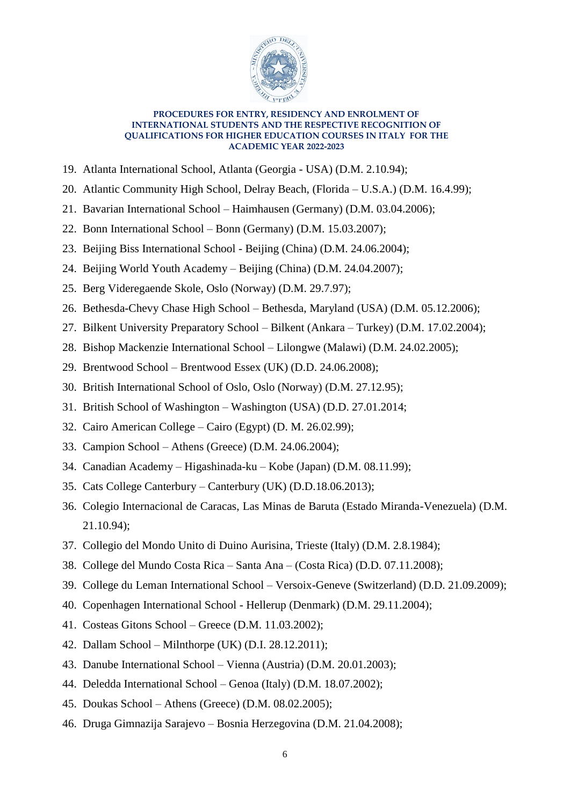

- 19. Atlanta International School, Atlanta (Georgia USA) (D.M. 2.10.94);
- 20. Atlantic Community High School, Delray Beach, (Florida U.S.A.) (D.M. 16.4.99);
- 21. Bavarian International School Haimhausen (Germany) (D.M. 03.04.2006);
- 22. Bonn International School Bonn (Germany) (D.M. 15.03.2007);
- 23. Beijing Biss International School Beijing (China) (D.M. 24.06.2004);
- 24. Beijing World Youth Academy Beijing (China) (D.M. 24.04.2007);
- 25. Berg Videregaende Skole, Oslo (Norway) (D.M. 29.7.97);
- 26. Bethesda-Chevy Chase High School Bethesda, Maryland (USA) (D.M. 05.12.2006);
- 27. Bilkent University Preparatory School Bilkent (Ankara Turkey) (D.M. 17.02.2004);
- 28. Bishop Mackenzie International School Lilongwe (Malawi) (D.M. 24.02.2005);
- 29. Brentwood School Brentwood Essex (UK) (D.D. 24.06.2008);
- 30. British International School of Oslo, Oslo (Norway) (D.M. 27.12.95);
- 31. British School of Washington Washington (USA) (D.D. 27.01.2014;
- 32. Cairo American College Cairo (Egypt) (D. M. 26.02.99);
- 33. Campion School Athens (Greece) (D.M. 24.06.2004);
- 34. Canadian Academy Higashinada-ku Kobe (Japan) (D.M. 08.11.99);
- 35. Cats College Canterbury Canterbury (UK) (D.D.18.06.2013);
- 36. Colegio Internacional de Caracas, Las Minas de Baruta (Estado Miranda-Venezuela) (D.M. 21.10.94);
- 37. Collegio del Mondo Unito di Duino Aurisina, Trieste (Italy) (D.M. 2.8.1984);
- 38. College del Mundo Costa Rica Santa Ana (Costa Rica) (D.D. 07.11.2008);
- 39. College du Leman International School Versoix-Geneve (Switzerland) (D.D. 21.09.2009);
- 40. Copenhagen International School Hellerup (Denmark) (D.M. 29.11.2004);
- 41. Costeas Gitons School Greece (D.M. 11.03.2002);
- 42. Dallam School Milnthorpe (UK) (D.I. 28.12.2011);
- 43. Danube International School Vienna (Austria) (D.M. 20.01.2003);
- 44. Deledda International School Genoa (Italy) (D.M. 18.07.2002);
- 45. Doukas School Athens (Greece) (D.M. 08.02.2005);
- 46. Druga Gimnazija Sarajevo Bosnia Herzegovina (D.M. 21.04.2008);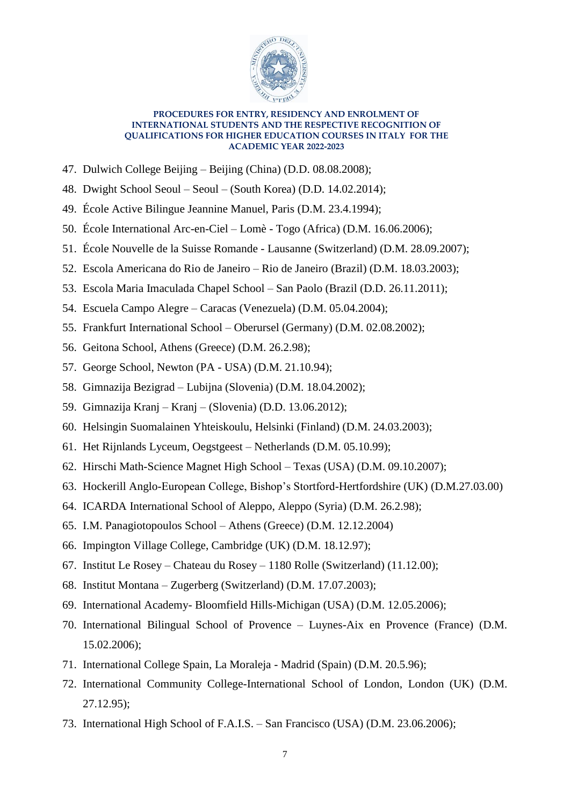

- 47. Dulwich College Beijing Beijing (China) (D.D. 08.08.2008);
- 48. Dwight School Seoul Seoul (South Korea) (D.D. 14.02.2014);
- 49. École Active Bilingue Jeannine Manuel, Paris (D.M. 23.4.1994);
- 50. École International Arc-en-Ciel Lomè Togo (Africa) (D.M. 16.06.2006);
- 51. École Nouvelle de la Suisse Romande Lausanne (Switzerland) (D.M. 28.09.2007);
- 52. Escola Americana do Rio de Janeiro Rio de Janeiro (Brazil) (D.M. 18.03.2003);
- 53. Escola Maria Imaculada Chapel School San Paolo (Brazil (D.D. 26.11.2011);
- 54. Escuela Campo Alegre Caracas (Venezuela) (D.M. 05.04.2004);
- 55. Frankfurt International School Oberursel (Germany) (D.M. 02.08.2002);
- 56. Geitona School, Athens (Greece) (D.M. 26.2.98);
- 57. George School, Newton (PA USA) (D.M. 21.10.94);
- 58. Gimnazija Bezigrad Lubijna (Slovenia) (D.M. 18.04.2002);
- 59. Gimnazija Kranj Kranj (Slovenia) (D.D. 13.06.2012);
- 60. Helsingin Suomalainen Yhteiskoulu, Helsinki (Finland) (D.M. 24.03.2003);
- 61. Het Rijnlands Lyceum, Oegstgeest Netherlands (D.M. 05.10.99);
- 62. Hirschi Math-Science Magnet High School Texas (USA) (D.M. 09.10.2007);
- 63. Hockerill Anglo-European College, Bishop's Stortford-Hertfordshire (UK) (D.M.27.03.00)
- 64. ICARDA International School of Aleppo, Aleppo (Syria) (D.M. 26.2.98);
- 65. I.M. Panagiotopoulos School Athens (Greece) (D.M. 12.12.2004)
- 66. Impington Village College, Cambridge (UK) (D.M. 18.12.97);
- 67. Institut Le Rosey Chateau du Rosey 1180 Rolle (Switzerland) (11.12.00);
- 68. Institut Montana Zugerberg (Switzerland) (D.M. 17.07.2003);
- 69. International Academy- Bloomfield Hills-Michigan (USA) (D.M. 12.05.2006);
- 70. International Bilingual School of Provence Luynes-Aix en Provence (France) (D.M. 15.02.2006);
- 71. International College Spain, La Moraleja Madrid (Spain) (D.M. 20.5.96);
- 72. International Community College-International School of London, London (UK) (D.M. 27.12.95);
- 73. International High School of F.A.I.S. San Francisco (USA) (D.M. 23.06.2006);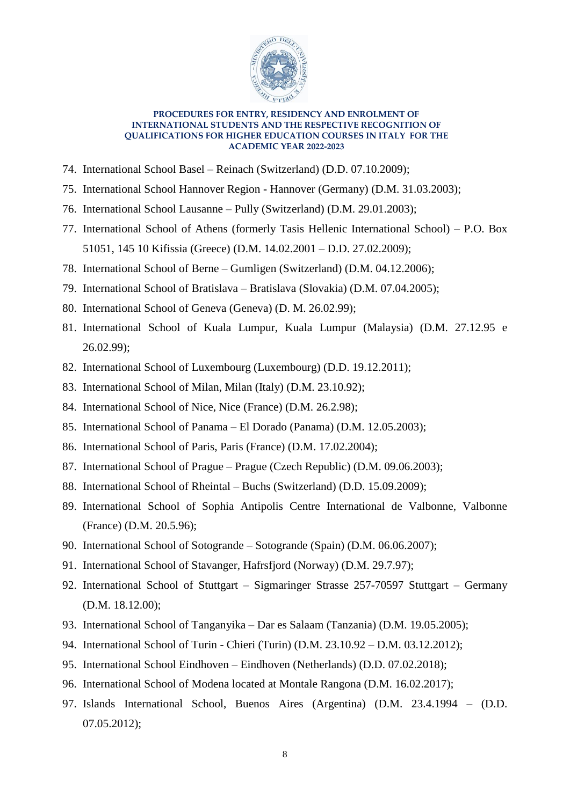

- 74. International School Basel Reinach (Switzerland) (D.D. 07.10.2009);
- 75. International School Hannover Region Hannover (Germany) (D.M. 31.03.2003);
- 76. International School Lausanne Pully (Switzerland) (D.M. 29.01.2003);
- 77. International School of Athens (formerly Tasis Hellenic International School) P.O. Box 51051, 145 10 Kifissia (Greece) (D.M. 14.02.2001 – D.D. 27.02.2009);
- 78. International School of Berne Gumligen (Switzerland) (D.M. 04.12.2006);
- 79. International School of Bratislava Bratislava (Slovakia) (D.M. 07.04.2005);
- 80. International School of Geneva (Geneva) (D. M. 26.02.99);
- 81. International School of Kuala Lumpur, Kuala Lumpur (Malaysia) (D.M. 27.12.95 e 26.02.99);
- 82. International School of Luxembourg (Luxembourg) (D.D. 19.12.2011);
- 83. International School of Milan, Milan (Italy) (D.M. 23.10.92);
- 84. International School of Nice, Nice (France) (D.M. 26.2.98);
- 85. International School of Panama El Dorado (Panama) (D.M. 12.05.2003);
- 86. International School of Paris, Paris (France) (D.M. 17.02.2004);
- 87. International School of Prague Prague (Czech Republic) (D.M. 09.06.2003);
- 88. International School of Rheintal Buchs (Switzerland) (D.D. 15.09.2009);
- 89. International School of Sophia Antipolis Centre International de Valbonne, Valbonne (France) (D.M. 20.5.96);
- 90. International School of Sotogrande Sotogrande (Spain) (D.M. 06.06.2007);
- 91. International School of Stavanger, Hafrsfjord (Norway) (D.M. 29.7.97);
- 92. International School of Stuttgart Sigmaringer Strasse 257-70597 Stuttgart Germany (D.M. 18.12.00);
- 93. International School of Tanganyika Dar es Salaam (Tanzania) (D.M. 19.05.2005);
- 94. International School of Turin Chieri (Turin) (D.M. 23.10.92 D.M. 03.12.2012);
- 95. International School Eindhoven Eindhoven (Netherlands) (D.D. 07.02.2018);
- 96. International School of Modena located at Montale Rangona (D.M. 16.02.2017);
- 97. Islands International School, Buenos Aires (Argentina) (D.M. 23.4.1994 (D.D. 07.05.2012);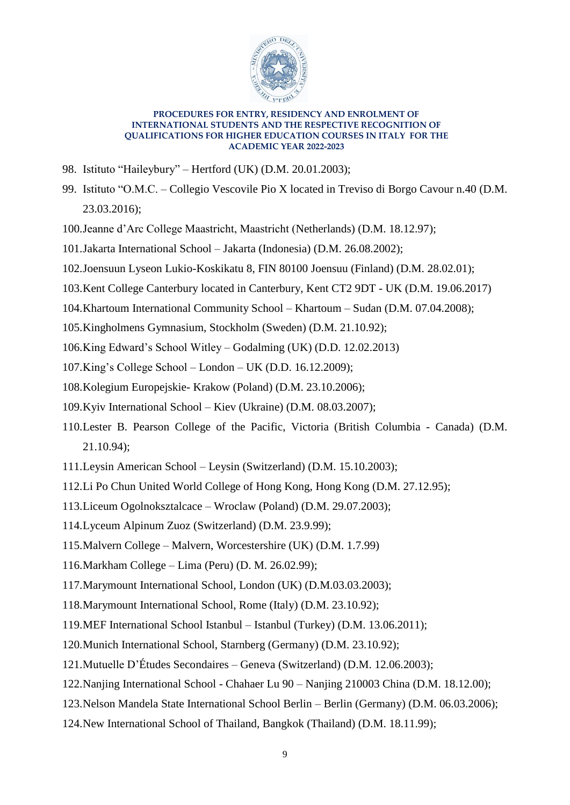

- 98. Istituto "Haileybury" Hertford (UK) (D.M. 20.01.2003);
- 99. Istituto "O.M.C. Collegio Vescovile Pio X located in Treviso di Borgo Cavour n.40 (D.M. 23.03.2016);
- 100.Jeanne d'Arc College Maastricht, Maastricht (Netherlands) (D.M. 18.12.97);
- 101.Jakarta International School Jakarta (Indonesia) (D.M. 26.08.2002);
- 102.Joensuun Lyseon Lukio-Koskikatu 8, FIN 80100 Joensuu (Finland) (D.M. 28.02.01);
- 103.Kent College Canterbury located in Canterbury, Kent CT2 9DT UK (D.M. 19.06.2017)
- 104.Khartoum International Community School Khartoum Sudan (D.M. 07.04.2008);
- 105.Kingholmens Gymnasium, Stockholm (Sweden) (D.M. 21.10.92);
- 106.King Edward's School Witley Godalming (UK) (D.D. 12.02.2013)
- 107.King's College School London UK (D.D. 16.12.2009);
- 108.Kolegium Europejskie- Krakow (Poland) (D.M. 23.10.2006);
- 109.Kyiv International School Kiev (Ukraine) (D.M. 08.03.2007);
- 110.Lester B. Pearson College of the Pacific, Victoria (British Columbia Canada) (D.M. 21.10.94);
- 111.Leysin American School Leysin (Switzerland) (D.M. 15.10.2003);
- 112.Li Po Chun United World College of Hong Kong, Hong Kong (D.M. 27.12.95);
- 113.Liceum Ogolnoksztalcace Wroclaw (Poland) (D.M. 29.07.2003);
- 114.Lyceum Alpinum Zuoz (Switzerland) (D.M. 23.9.99);
- 115.Malvern College Malvern, Worcestershire (UK) (D.M. 1.7.99)
- 116.Markham College Lima (Peru) (D. M. 26.02.99);
- 117.Marymount International School, London (UK) (D.M.03.03.2003);
- 118.Marymount International School, Rome (Italy) (D.M. 23.10.92);
- 119.MEF International School Istanbul Istanbul (Turkey) (D.M. 13.06.2011);
- 120.Munich International School, Starnberg (Germany) (D.M. 23.10.92);
- 121.Mutuelle D'Études Secondaires Geneva (Switzerland) (D.M. 12.06.2003);
- 122.Nanjing International School Chahaer Lu 90 Nanjing 210003 China (D.M. 18.12.00);
- 123.Nelson Mandela State International School Berlin Berlin (Germany) (D.M. 06.03.2006);
- 124.New International School of Thailand, Bangkok (Thailand) (D.M. 18.11.99);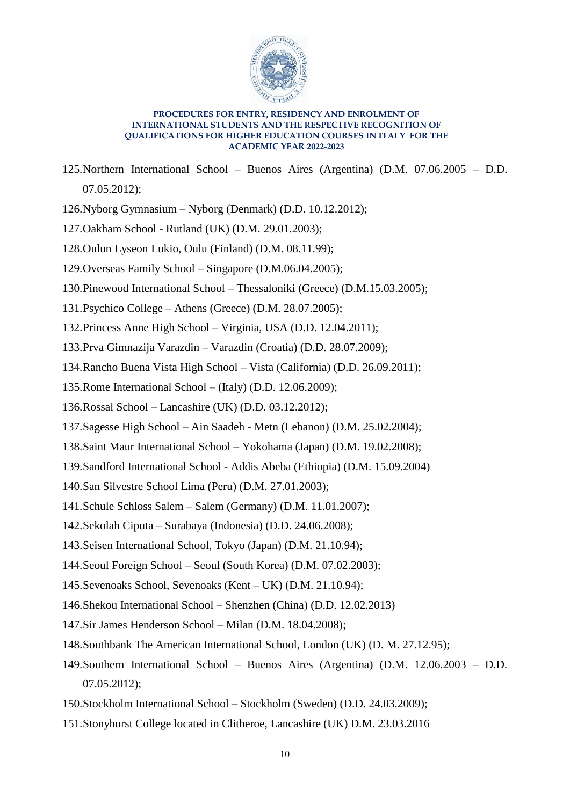

- 125.Northern International School Buenos Aires (Argentina) (D.M. 07.06.2005 D.D. 07.05.2012);
- 126.Nyborg Gymnasium Nyborg (Denmark) (D.D. 10.12.2012);
- 127.Oakham School Rutland (UK) (D.M. 29.01.2003);
- 128.Oulun Lyseon Lukio, Oulu (Finland) (D.M. 08.11.99);
- 129.Overseas Family School Singapore (D.M.06.04.2005);
- 130.Pinewood International School Thessaloniki (Greece) (D.M.15.03.2005);
- 131.Psychico College Athens (Greece) (D.M. 28.07.2005);
- 132.Princess Anne High School Virginia, USA (D.D. 12.04.2011);
- 133.Prva Gimnazija Varazdin Varazdin (Croatia) (D.D. 28.07.2009);
- 134.Rancho Buena Vista High School Vista (California) (D.D. 26.09.2011);
- 135.Rome International School (Italy) (D.D. 12.06.2009);
- 136.Rossal School Lancashire (UK) (D.D. 03.12.2012);
- 137.Sagesse High School Ain Saadeh Metn (Lebanon) (D.M. 25.02.2004);
- 138.Saint Maur International School Yokohama (Japan) (D.M. 19.02.2008);
- 139.Sandford International School Addis Abeba (Ethiopia) (D.M. 15.09.2004)
- 140.San Silvestre School Lima (Peru) (D.M. 27.01.2003);
- 141.Schule Schloss Salem Salem (Germany) (D.M. 11.01.2007);
- 142.Sekolah Ciputa Surabaya (Indonesia) (D.D. 24.06.2008);
- 143.Seisen International School, Tokyo (Japan) (D.M. 21.10.94);
- 144.Seoul Foreign School Seoul (South Korea) (D.M. 07.02.2003);
- 145.Sevenoaks School, Sevenoaks (Kent UK) (D.M. 21.10.94);
- 146.Shekou International School Shenzhen (China) (D.D. 12.02.2013)
- 147.Sir James Henderson School Milan (D.M. 18.04.2008);
- 148.Southbank The American International School, London (UK) (D. M. 27.12.95);
- 149.Southern International School Buenos Aires (Argentina) (D.M. 12.06.2003 D.D. 07.05.2012);
- 150.Stockholm International School Stockholm (Sweden) (D.D. 24.03.2009);
- 151.Stonyhurst College located in Clitheroe, Lancashire (UK) D.M. 23.03.2016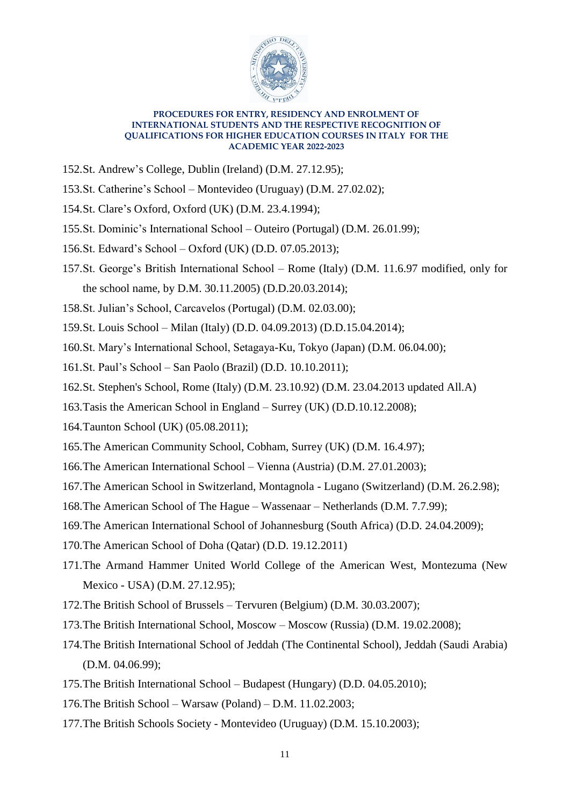

- 152.St. Andrew's College, Dublin (Ireland) (D.M. 27.12.95);
- 153.St. Catherine's School Montevideo (Uruguay) (D.M. 27.02.02);
- 154.St. Clare's Oxford, Oxford (UK) (D.M. 23.4.1994);
- 155.St. Dominic's International School Outeiro (Portugal) (D.M. 26.01.99);
- 156.St. Edward's School Oxford (UK) (D.D. 07.05.2013);
- 157.St. George's British International School Rome (Italy) (D.M. 11.6.97 modified, only for the school name, by D.M. 30.11.2005) (D.D.20.03.2014);
- 158.St. Julian's School, Carcavelos (Portugal) (D.M. 02.03.00);
- 159.St. Louis School Milan (Italy) (D.D. 04.09.2013) (D.D.15.04.2014);
- 160.St. Mary's International School, Setagaya-Ku, Tokyo (Japan) (D.M. 06.04.00);
- 161.St. Paul's School San Paolo (Brazil) (D.D. 10.10.2011);
- 162.St. Stephen's School, Rome (Italy) (D.M. 23.10.92) (D.M. 23.04.2013 updated All.A)
- 163.Tasis the American School in England Surrey (UK) (D.D.10.12.2008);
- 164.Taunton School (UK) (05.08.2011);
- 165.The American Community School, Cobham, Surrey (UK) (D.M. 16.4.97);
- 166.The American International School Vienna (Austria) (D.M. 27.01.2003);
- 167.The American School in Switzerland, Montagnola Lugano (Switzerland) (D.M. 26.2.98);
- 168.The American School of The Hague Wassenaar Netherlands (D.M. 7.7.99);
- 169.The American International School of Johannesburg (South Africa) (D.D. 24.04.2009);
- 170.The American School of Doha (Qatar) (D.D. 19.12.2011)
- 171.The Armand Hammer United World College of the American West, Montezuma (New Mexico - USA) (D.M. 27.12.95);
- 172.The British School of Brussels Tervuren (Belgium) (D.M. 30.03.2007);
- 173.The British International School, Moscow Moscow (Russia) (D.M. 19.02.2008);
- 174.The British International School of Jeddah (The Continental School), Jeddah (Saudi Arabia) (D.M. 04.06.99);
- 175.The British International School Budapest (Hungary) (D.D. 04.05.2010);
- 176.The British School Warsaw (Poland) D.M. 11.02.2003;
- 177.The British Schools Society Montevideo (Uruguay) (D.M. 15.10.2003);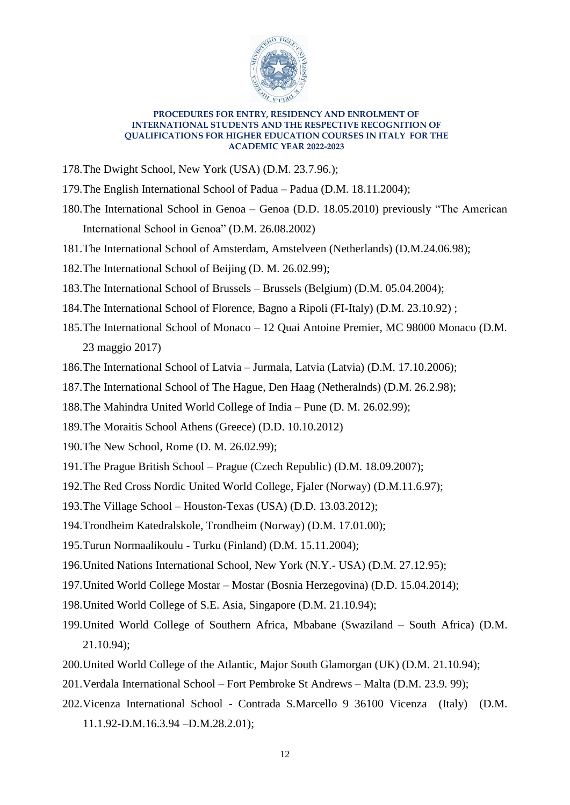

- 178.The Dwight School, New York (USA) (D.M. 23.7.96.);
- 179.The English International School of Padua Padua (D.M. 18.11.2004);
- 180.The International School in Genoa Genoa (D.D. 18.05.2010) previously "The American International School in Genoa" (D.M. 26.08.2002)
- 181.The International School of Amsterdam, Amstelveen (Netherlands) (D.M.24.06.98);
- 182.The International School of Beijing (D. M. 26.02.99);
- 183.The International School of Brussels Brussels (Belgium) (D.M. 05.04.2004);
- 184.The International School of Florence, Bagno a Ripoli (FI-Italy) (D.M. 23.10.92) ;
- 185.The International School of Monaco 12 Quai Antoine Premier, MC 98000 Monaco (D.M. 23 maggio 2017)
- 186.The International School of Latvia Jurmala, Latvia (Latvia) (D.M. 17.10.2006);
- 187.The International School of The Hague, Den Haag (Netheralnds) (D.M. 26.2.98);
- 188.The Mahindra United World College of India Pune (D. M. 26.02.99);
- 189.The Moraitis School Athens (Greece) (D.D. 10.10.2012)
- 190.The New School, Rome (D. M. 26.02.99);
- 191.The Prague British School Prague (Czech Republic) (D.M. 18.09.2007);
- 192.The Red Cross Nordic United World College, Fjaler (Norway) (D.M.11.6.97);
- 193.The Village School Houston-Texas (USA) (D.D. 13.03.2012);
- 194.Trondheim Katedralskole, Trondheim (Norway) (D.M. 17.01.00);
- 195.Turun Normaalikoulu Turku (Finland) (D.M. 15.11.2004);
- 196.United Nations International School, New York (N.Y.- USA) (D.M. 27.12.95);
- 197.United World College Mostar Mostar (Bosnia Herzegovina) (D.D. 15.04.2014);
- 198.United World College of S.E. Asia, Singapore (D.M. 21.10.94);
- 199.United World College of Southern Africa, Mbabane (Swaziland South Africa) (D.M. 21.10.94);
- 200.United World College of the Atlantic, Major South Glamorgan (UK) (D.M. 21.10.94);
- 201.Verdala International School Fort Pembroke St Andrews Malta (D.M. 23.9. 99);
- 202.Vicenza International School Contrada S.Marcello 9 36100 Vicenza (Italy) (D.M. 11.1.92-D.M.16.3.94 –D.M.28.2.01);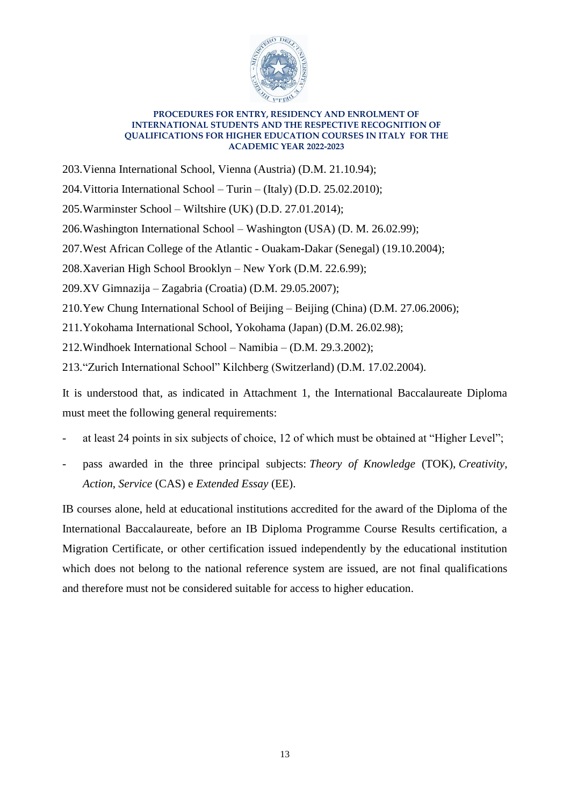

203.Vienna International School, Vienna (Austria) (D.M. 21.10.94);

204.Vittoria International School – Turin – (Italy) (D.D. 25.02.2010);

- 205.Warminster School Wiltshire (UK) (D.D. 27.01.2014);
- 206.Washington International School Washington (USA) (D. M. 26.02.99);
- 207.West African College of the Atlantic Ouakam-Dakar (Senegal) (19.10.2004);

208.Xaverian High School Brooklyn – New York (D.M. 22.6.99);

209.XV Gimnazija – Zagabria (Croatia) (D.M. 29.05.2007);

210.Yew Chung International School of Beijing – Beijing (China) (D.M. 27.06.2006);

211.Yokohama International School, Yokohama (Japan) (D.M. 26.02.98);

212.Windhoek International School – Namibia – (D.M. 29.3.2002);

213."Zurich International School" Kilchberg (Switzerland) (D.M. 17.02.2004).

It is understood that, as indicated in Attachment 1, the International Baccalaureate Diploma must meet the following general requirements:

- at least 24 points in six subjects of choice, 12 of which must be obtained at "Higher Level";
- pass awarded in the three principal subjects: *Theory of Knowledge* (TOK), *Creativity*, *Action*, *Service* (CAS) e *Extended Essay* (EE).

IB courses alone, held at educational institutions accredited for the award of the Diploma of the International Baccalaureate, before an IB Diploma Programme Course Results certification, a Migration Certificate, or other certification issued independently by the educational institution which does not belong to the national reference system are issued, are not final qualifications and therefore must not be considered suitable for access to higher education.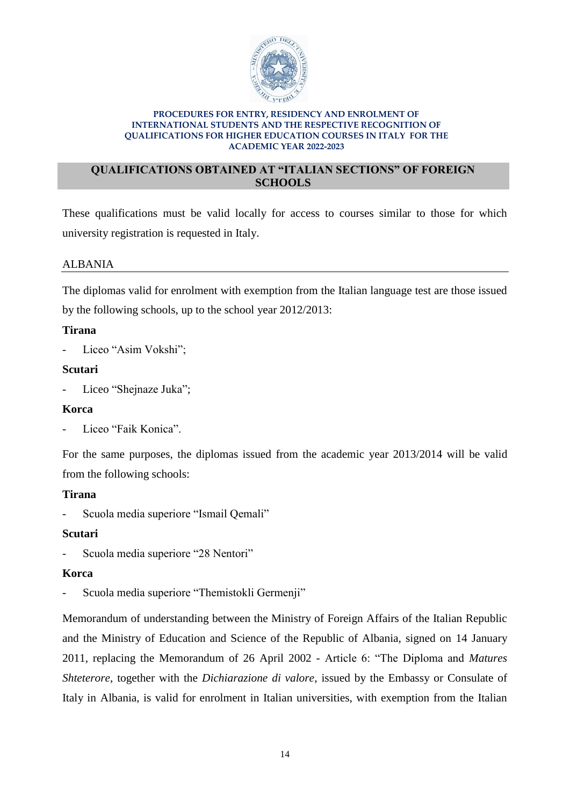

## **QUALIFICATIONS OBTAINED AT "ITALIAN SECTIONS" OF FOREIGN SCHOOLS**

These qualifications must be valid locally for access to courses similar to those for which university registration is requested in Italy.

# ALBANIA

The diplomas valid for enrolment with exemption from the Italian language test are those issued by the following schools, up to the school year 2012/2013:

# **Tirana**

Liceo "Asim Vokshi";

## **Scutari**

Liceo "Shejnaze Juka";

# **Korca**

Liceo "Faik Konica".

For the same purposes, the diplomas issued from the academic year 2013/2014 will be valid from the following schools:

# **Tirana**

- Scuola media superiore "Ismail Qemali"

# **Scutari**

- Scuola media superiore "28 Nentori"

# **Korca**

- Scuola media superiore "Themistokli Germenii"

Memorandum of understanding between the Ministry of Foreign Affairs of the Italian Republic and the Ministry of Education and Science of the Republic of Albania, signed on 14 January 2011, replacing the Memorandum of 26 April 2002 - Article 6: "The Diploma and *Matures Shteterore*, together with the *Dichiarazione di valore*, issued by the Embassy or Consulate of Italy in Albania, is valid for enrolment in Italian universities, with exemption from the Italian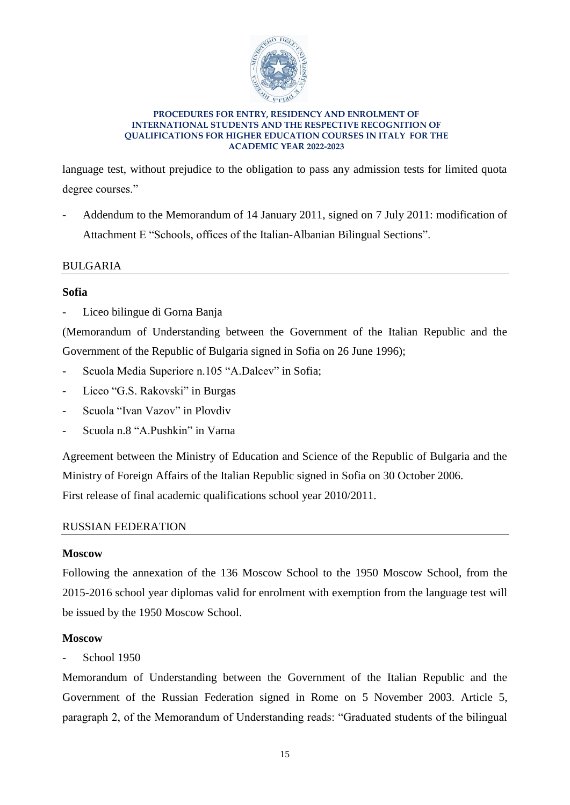

language test, without prejudice to the obligation to pass any admission tests for limited quota degree courses."

- Addendum to the Memorandum of 14 January 2011, signed on 7 July 2011: modification of Attachment E "Schools, offices of the Italian-Albanian Bilingual Sections".

## BULGARIA

## **Sofia**

Liceo bilingue di Gorna Banja

(Memorandum of Understanding between the Government of the Italian Republic and the Government of the Republic of Bulgaria signed in Sofia on 26 June 1996);

- Scuola Media Superiore n.105 "A.Dalcev" in Sofia;
- Liceo "G.S. Rakovski" in Burgas
- Scuola "Ivan Vazov" in Plovdiv
- Scuola n.8 "A.Pushkin" in Varna

Agreement between the Ministry of Education and Science of the Republic of Bulgaria and the Ministry of Foreign Affairs of the Italian Republic signed in Sofia on 30 October 2006. First release of final academic qualifications school year 2010/2011.

### RUSSIAN FEDERATION

### **Moscow**

Following the annexation of the 136 Moscow School to the 1950 Moscow School, from the 2015-2016 school year diplomas valid for enrolment with exemption from the language test will be issued by the 1950 Moscow School.

# **Moscow**

School 1950

Memorandum of Understanding between the Government of the Italian Republic and the Government of the Russian Federation signed in Rome on 5 November 2003. Article 5, paragraph 2, of the Memorandum of Understanding reads: "Graduated students of the bilingual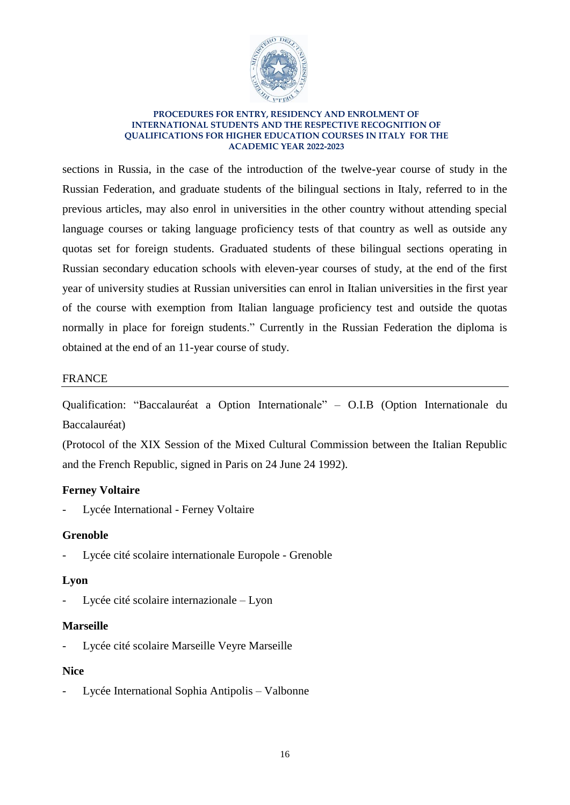

sections in Russia, in the case of the introduction of the twelve-year course of study in the Russian Federation, and graduate students of the bilingual sections in Italy, referred to in the previous articles, may also enrol in universities in the other country without attending special language courses or taking language proficiency tests of that country as well as outside any quotas set for foreign students. Graduated students of these bilingual sections operating in Russian secondary education schools with eleven-year courses of study, at the end of the first year of university studies at Russian universities can enrol in Italian universities in the first year of the course with exemption from Italian language proficiency test and outside the quotas normally in place for foreign students." Currently in the Russian Federation the diploma is obtained at the end of an 11-year course of study.

## FRANCE

Qualification: "Baccalauréat a Option Internationale" – O.I.B (Option Internationale du Baccalauréat)

(Protocol of the XIX Session of the Mixed Cultural Commission between the Italian Republic and the French Republic, signed in Paris on 24 June 24 1992).

# **Ferney Voltaire**

Lycée International - Ferney Voltaire

### **Grenoble**

Lycée cité scolaire internationale Europole - Grenoble

# **Lyon**

Lycée cité scolaire internazionale – Lyon

### **Marseille**

Lycée cité scolaire Marseille Veyre Marseille

### **Nice**

Lycée International Sophia Antipolis – Valbonne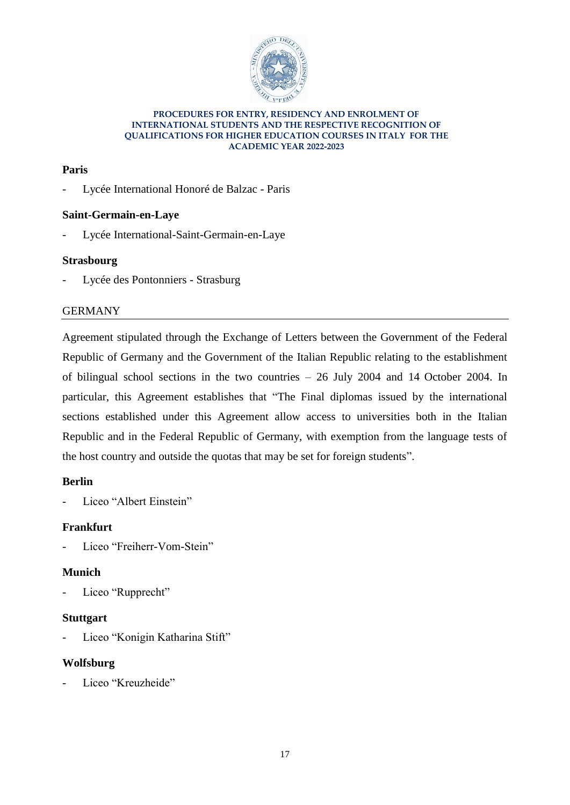

# **Paris**

- Lycée International Honoré de Balzac - Paris

# **Saint-Germain-en-Laye**

Lycée International-Saint-Germain-en-Laye

# **Strasbourg**

Lycée des Pontonniers - Strasburg

# GERMANY

Agreement stipulated through the Exchange of Letters between the Government of the Federal Republic of Germany and the Government of the Italian Republic relating to the establishment of bilingual school sections in the two countries – 26 July 2004 and 14 October 2004. In particular, this Agreement establishes that "The Final diplomas issued by the international sections established under this Agreement allow access to universities both in the Italian Republic and in the Federal Republic of Germany, with exemption from the language tests of the host country and outside the quotas that may be set for foreign students".

# **Berlin**

Liceo "Albert Einstein"

# **Frankfurt**

Liceo "Freiherr-Vom-Stein"

# **Munich**

- Liceo "Rupprecht"

# **Stuttgart**

Liceo "Konigin Katharina Stift"

# **Wolfsburg**

Liceo "Kreuzheide"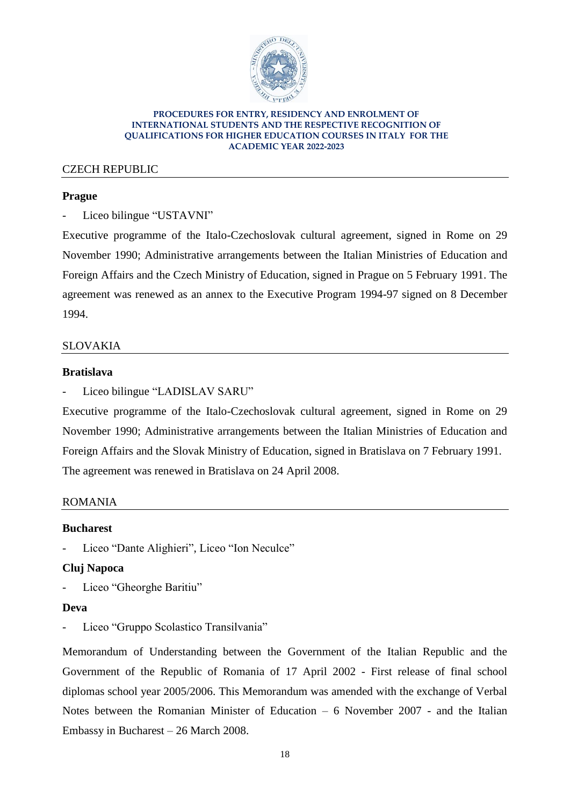

# CZECH REPUBLIC

## **Prague**

- Liceo bilingue "USTAVNI"

Executive programme of the Italo-Czechoslovak cultural agreement, signed in Rome on 29 November 1990; Administrative arrangements between the Italian Ministries of Education and Foreign Affairs and the Czech Ministry of Education, signed in Prague on 5 February 1991. The agreement was renewed as an annex to the Executive Program 1994-97 signed on 8 December 1994.

## SLOVAKIA

### **Bratislava**

Liceo bilingue "LADISLAV SARU"

Executive programme of the Italo-Czechoslovak cultural agreement, signed in Rome on 29 November 1990; Administrative arrangements between the Italian Ministries of Education and Foreign Affairs and the Slovak Ministry of Education, signed in Bratislava on 7 February 1991. The agreement was renewed in Bratislava on 24 April 2008.

### ROMANIA

### **Bucharest**

Liceo "Dante Alighieri", Liceo "Ion Neculce"

### **Cluj Napoca**

Liceo "Gheorghe Baritiu"

### **Deva**

Liceo "Gruppo Scolastico Transilvania"

Memorandum of Understanding between the Government of the Italian Republic and the Government of the Republic of Romania of 17 April 2002 - First release of final school diplomas school year 2005/2006. This Memorandum was amended with the exchange of Verbal Notes between the Romanian Minister of Education – 6 November 2007 - and the Italian Embassy in Bucharest – 26 March 2008.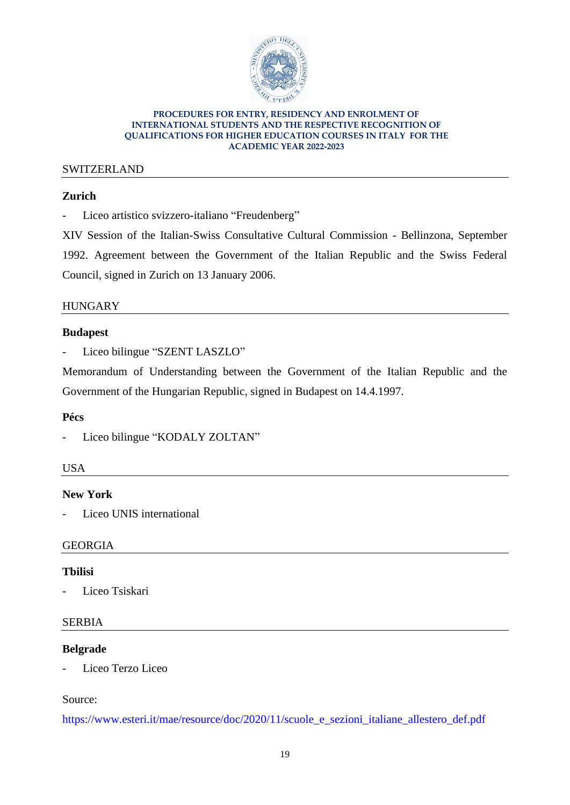

## SWITZERLAND

# **Zurich**

- Liceo artistico svizzero-italiano "Freudenberg"

XIV Session of the Italian-Swiss Consultative Cultural Commission - Bellinzona, September 1992. Agreement between the Government of the Italian Republic and the Swiss Federal Council, signed in Zurich on 13 January 2006.

# **HUNGARY**

## **Budapest**

- Liceo bilingue "SZENT LASZLO"

Memorandum of Understanding between the Government of the Italian Republic and the Government of the Hungarian Republic, signed in Budapest on 14.4.1997.

# **Pécs**

# **USA**

# **New York**

Liceo UNIS international

# GEORGIA

# **Tbilisi**

- Liceo Tsiskari

# SERBIA

# **Belgrade**

Liceo Terzo Liceo

# Source:

[https://www.esteri.it/mae/resource/doc/2020/11/scuole\\_e\\_sezioni\\_italiane\\_allestero\\_def.pdf](https://www.esteri.it/mae/resource/doc/2020/11/scuole_e_sezioni_italiane_allestero_def.pdf)

<sup>-</sup> Liceo bilingue "KODALY ZOLTAN"